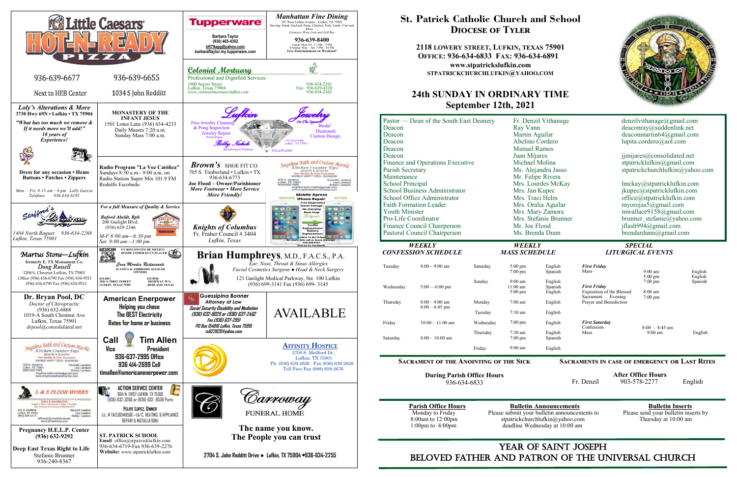

## YEAR OF SAINT JOSEPH beloved father AND Patron of the Universal Church

# **St. Patrick Catholic Church and School Diocese of Tyler**

**2118 LOWERY STREET, LUFKIN, TEXAS 75901 OFFICE: 936-634-6833 FAX: 936-634-6891 www.stpatrickslufkin.com STPATRICKCHURCHLUFKIN@YAHOO.COM**

## **24th SUNDAY IN ORDINARY TIME September 12th, 2021**

| Fr. Denzil Vithanage  | denzilvithanage@gmail.com       |
|-----------------------|---------------------------------|
| Ray Vann              | deaconray@suddenlink.net        |
| Martin Aguilar        | deaconmartin $64@g$ mail.com    |
| Abelino Cordero       | lupita.cordero@aol.com          |
| <b>Manuel Ramos</b>   |                                 |
| Juan Mijares          | jimijares@consolidated.net      |
| Michael Molina        | stpatricklufkin@gmail.com       |
| Ms. Alejandra Jasso   | stpatrickchurchlufkin@yahoo.com |
| Mr. Felipe Rivera     |                                 |
| Mrs. Lourdes McKay    | lmckay@stpatricklufkin.com      |
| Mrs. Jan Kupec        | jkupec@stpatricklufkin.com      |
| Mrs. Traci Helm       | office@stpatricklufkin.com      |
| Mrs. Oralia Aguilar   | myorojas $5@g$ mail.com         |
| Mrs. Mary Zamora      | mwallace9158@gmail.com          |
| Mrs. Stefanie Brunner | brunner stefanie@yahoo.com      |
| Mr. Joe Flood         | jflash994@gmail.com             |
| Ms. Brenda Dunn       | brendardunn@gmail.com           |
|                       |                                 |

| Pastor — Dean of the South East Deanery<br>Deacon<br>Deacon<br>Deacon<br>Deacon<br>Deacon<br>Finance and Operations Executive<br>Parish Secretary<br>Maintenance<br><b>School Principal</b><br><b>School Business Administrator</b><br>School Office Administrator<br><b>Faith Formation Leader</b><br><b>Youth Minister</b><br>Pro-Life Coordinator<br>Finance Council Chairperson<br>Pastoral Council Chairperson |                                                                                                   | Fr. Denzil Vithanage<br>Ray Vann<br>Martin Aguilar<br>Abelino Cordero<br><b>Manuel Ramos</b><br>Juan Mijares<br>Michael Molina<br>Ms. Alejandra Jasso<br>Mr. Felipe Rivera<br>Mrs. Lourdes McKay<br>Mrs. Jan Kupec<br>Mrs. Traci Helm<br>Mrs. Oralia Aguilar<br>Mrs. Mary Zamora<br>Mrs. Stefanie Brunner<br>Mr. Joe Flood<br>Ms. Brenda Dunn |                                              | denzilvithanage@gmail.com<br>deaconray@suddenlink.net<br>deaconmartin $64@g$ mail.com<br>lupita.cordero@aol.com<br>jjmijares@consolidated.net<br>stpatricklufkin@gmail.com<br>stpatrickchurchlufkin@yahoo.<br>lmckay@stpatricklufkin.com<br>jkupec@stpatricklufkin.com<br>office@stpatricklufkin.com<br>myorojas5@gmail.com<br>mwallace9158@gmail.com<br>brunner stefanie@yahoo.com<br>jflash994@gmail.com<br>$b$ rendardunn@gmail.com |                                                  |                                       |              |
|---------------------------------------------------------------------------------------------------------------------------------------------------------------------------------------------------------------------------------------------------------------------------------------------------------------------------------------------------------------------------------------------------------------------|---------------------------------------------------------------------------------------------------|-----------------------------------------------------------------------------------------------------------------------------------------------------------------------------------------------------------------------------------------------------------------------------------------------------------------------------------------------|----------------------------------------------|----------------------------------------------------------------------------------------------------------------------------------------------------------------------------------------------------------------------------------------------------------------------------------------------------------------------------------------------------------------------------------------------------------------------------------------|--------------------------------------------------|---------------------------------------|--------------|
| <b>WEEKLY</b><br><b>CONFESSION SCHEDULE</b>                                                                                                                                                                                                                                                                                                                                                                         |                                                                                                   | <b>WEEKLY</b><br><b>MASS SCHEDULE</b>                                                                                                                                                                                                                                                                                                         |                                              |                                                                                                                                                                                                                                                                                                                                                                                                                                        | <b>SPECIAL</b><br><b>LITURGICAL EVENTS</b>       |                                       |              |
| Tuesday                                                                                                                                                                                                                                                                                                                                                                                                             | $8:00 - 9:00$ am                                                                                  | Saturday                                                                                                                                                                                                                                                                                                                                      | $5:00$ pm<br>$7:00$ pm                       | English<br>Spanish                                                                                                                                                                                                                                                                                                                                                                                                                     | <b>First Friday</b><br>Mass                      | $9:00 \text{ am}$<br>$5:00$ pm        | Engl<br>Engl |
| Wednesday                                                                                                                                                                                                                                                                                                                                                                                                           | $5:00 - 6:00$ pm                                                                                  | Sunday                                                                                                                                                                                                                                                                                                                                        | $9:00 \text{ am}$<br>$11:00$ am<br>$5:00$ pm | English<br>Spanish<br>English                                                                                                                                                                                                                                                                                                                                                                                                          | <b>First Friday</b><br>Exposition of the Blessed | $7:00$ pm<br>8:00 am                  | Span         |
| Thursday                                                                                                                                                                                                                                                                                                                                                                                                            | $8:00 - 9:00$ am                                                                                  | Monday                                                                                                                                                                                                                                                                                                                                        | $7:00$ am                                    | English                                                                                                                                                                                                                                                                                                                                                                                                                                | Sacrament  Evening<br>Prayer and Benediction     | $7:00$ pm                             |              |
|                                                                                                                                                                                                                                                                                                                                                                                                                     | $6:00 - 6:45$ pm                                                                                  | Tuesday                                                                                                                                                                                                                                                                                                                                       | 7:30 am                                      | English                                                                                                                                                                                                                                                                                                                                                                                                                                |                                                  |                                       |              |
| Friday                                                                                                                                                                                                                                                                                                                                                                                                              | $10:00 - 11:00$ am                                                                                | Wednesday                                                                                                                                                                                                                                                                                                                                     | $7:00$ pm                                    | English                                                                                                                                                                                                                                                                                                                                                                                                                                | <b>First Saturday</b>                            |                                       |              |
| Saturday                                                                                                                                                                                                                                                                                                                                                                                                            | $8:00 - 10:00$ am                                                                                 | Thursday                                                                                                                                                                                                                                                                                                                                      | 7:30 am<br>$7:00$ pm                         | English<br>Spanish                                                                                                                                                                                                                                                                                                                                                                                                                     | Confession<br>Mass                               | $8:00 - 8:45$ am<br>$9:00 \text{ am}$ | Eng          |
|                                                                                                                                                                                                                                                                                                                                                                                                                     |                                                                                                   | Friday                                                                                                                                                                                                                                                                                                                                        | $9:00 \text{ am}$                            | English                                                                                                                                                                                                                                                                                                                                                                                                                                |                                                  |                                       |              |
|                                                                                                                                                                                                                                                                                                                                                                                                                     | <b>SACRAMENT OF THE ANOINTING OF THE SICK</b><br><b>SACRAMENTS IN CASE OF EMERGENCY OR LAST F</b> |                                                                                                                                                                                                                                                                                                                                               |                                              |                                                                                                                                                                                                                                                                                                                                                                                                                                        |                                                  |                                       |              |

**During Parish Office Hours**  936-634-6833

**Parish Office Hours**<br>Monday to Friday **Please submit your bulletin announcements** to Please send your bulletin inserts by Monday to Friday Please submit your bulletin announcements to 8:00am to 12:00pm stratrickchurchlufkin@yahoo.com 8:00am to 12:00pm stpatrickchurchlufkin@yahoo.com Thursday at 10:00 am 1:00pm to 4:00pm deadline Wednesday at 10:00 am deadline Wednesday at 10:00 am



### **Sacraments in case of emergency or Last Rites**

 **After Office Hours**  Fr. Denzil 903-578-2277 English

# *CONFESSION SCHEDULE MASS SCHEDULE LITURGICAL EVENTS*

#### English Spanish English Spanish English English English English English Spanish English *First Friday* Mass *First Friday* Exposition of the Blessed Sacrament … Evening Prayer and Benediction *First Saturday* Confession Mass 9:00 am 5:00 pm 7:00 pm 8:00 am 7:00 pm 8:00 - 8:45 am 9:00 am English English Spanish English